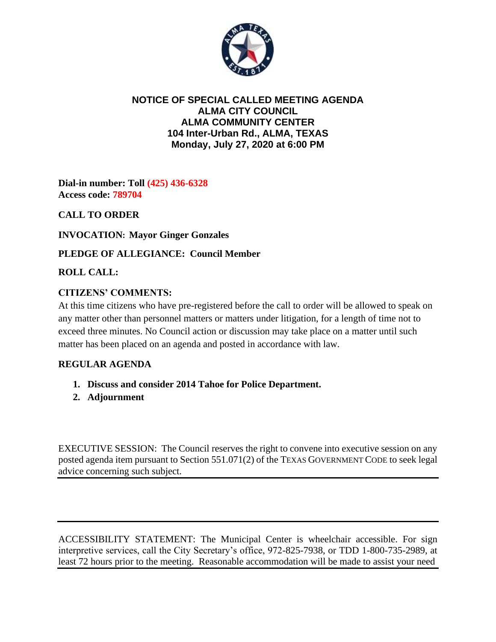

## **NOTICE OF SPECIAL CALLED MEETING AGENDA ALMA CITY COUNCIL ALMA COMMUNITY CENTER 104 Inter-Urban Rd., ALMA, TEXAS Monday, July 27, 2020 at 6:00 PM**

**Dial-in number: Toll (425) 436-6328 Access code: 789704**

**CALL TO ORDER**

**INVOCATION: Mayor Ginger Gonzales**

**PLEDGE OF ALLEGIANCE: Council Member**

**ROLL CALL:**

## **CITIZENS' COMMENTS:**

At this time citizens who have pre-registered before the call to order will be allowed to speak on any matter other than personnel matters or matters under litigation, for a length of time not to exceed three minutes. No Council action or discussion may take place on a matter until such matter has been placed on an agenda and posted in accordance with law.

## **REGULAR AGENDA**

- **1. Discuss and consider 2014 Tahoe for Police Department.**
- **2. Adjournment**

EXECUTIVE SESSION: The Council reserves the right to convene into executive session on any posted agenda item pursuant to Section 551.071(2) of the TEXAS GOVERNMENT CODE to seek legal advice concerning such subject.

ACCESSIBILITY STATEMENT: The Municipal Center is wheelchair accessible. For sign interpretive services, call the City Secretary's office, 972-825-7938, or TDD 1-800-735-2989, at least 72 hours prior to the meeting. Reasonable accommodation will be made to assist your need